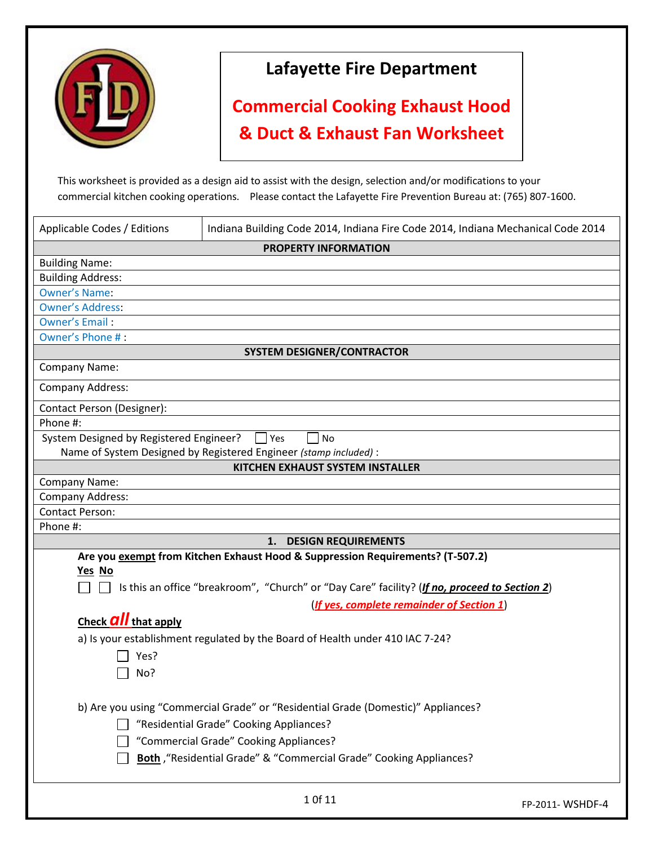

## **Lafayette Fire Department**

## **Commercial Cooking Exhaust Hood & Duct & Exhaust Fan Worksheet**

This worksheet is provided as a design aid to assist with the design, selection and/or modifications to your commercial kitchen cooking operations. Please contact the Lafayette Fire Prevention Bureau at: (765) 807-1600.

| Applicable Codes / Editions             | Indiana Building Code 2014, Indiana Fire Code 2014, Indiana Mechanical Code 2014              |                  |  |
|-----------------------------------------|-----------------------------------------------------------------------------------------------|------------------|--|
| <b>PROPERTY INFORMATION</b>             |                                                                                               |                  |  |
| <b>Building Name:</b>                   |                                                                                               |                  |  |
| <b>Building Address:</b>                |                                                                                               |                  |  |
| <b>Owner's Name:</b>                    |                                                                                               |                  |  |
| <b>Owner's Address:</b>                 |                                                                                               |                  |  |
| <b>Owner's Email:</b>                   |                                                                                               |                  |  |
| Owner's Phone #:                        |                                                                                               |                  |  |
|                                         | <b>SYSTEM DESIGNER/CONTRACTOR</b>                                                             |                  |  |
| <b>Company Name:</b>                    |                                                                                               |                  |  |
| <b>Company Address:</b>                 |                                                                                               |                  |  |
| Contact Person (Designer):              |                                                                                               |                  |  |
| Phone #:                                |                                                                                               |                  |  |
| System Designed by Registered Engineer? | <b>Yes</b><br>No                                                                              |                  |  |
|                                         | Name of System Designed by Registered Engineer (stamp included) :                             |                  |  |
|                                         | <b>KITCHEN EXHAUST SYSTEM INSTALLER</b>                                                       |                  |  |
| Company Name:                           |                                                                                               |                  |  |
| Company Address:                        |                                                                                               |                  |  |
| <b>Contact Person:</b>                  |                                                                                               |                  |  |
| Phone #:                                |                                                                                               |                  |  |
|                                         | 1. DESIGN REQUIREMENTS                                                                        |                  |  |
| Yes No                                  | Are you exempt from Kitchen Exhaust Hood & Suppression Requirements? (T-507.2)                |                  |  |
|                                         |                                                                                               |                  |  |
|                                         | Is this an office "breakroom", "Church" or "Day Care" facility? (If no, proceed to Section 2) |                  |  |
|                                         | (If yes, complete remainder of Section 1)                                                     |                  |  |
| Check <b>all</b> that apply             |                                                                                               |                  |  |
|                                         | a) Is your establishment regulated by the Board of Health under 410 IAC 7-24?                 |                  |  |
| Yes?                                    |                                                                                               |                  |  |
| No?                                     |                                                                                               |                  |  |
|                                         |                                                                                               |                  |  |
|                                         | b) Are you using "Commercial Grade" or "Residential Grade (Domestic)" Appliances?             |                  |  |
|                                         | "Residential Grade" Cooking Appliances?                                                       |                  |  |
|                                         | "Commercial Grade" Cooking Appliances?                                                        |                  |  |
|                                         |                                                                                               |                  |  |
|                                         | Both, "Residential Grade" & "Commercial Grade" Cooking Appliances?                            |                  |  |
|                                         | 1 Of 11                                                                                       | FP-2011- WSHDF-4 |  |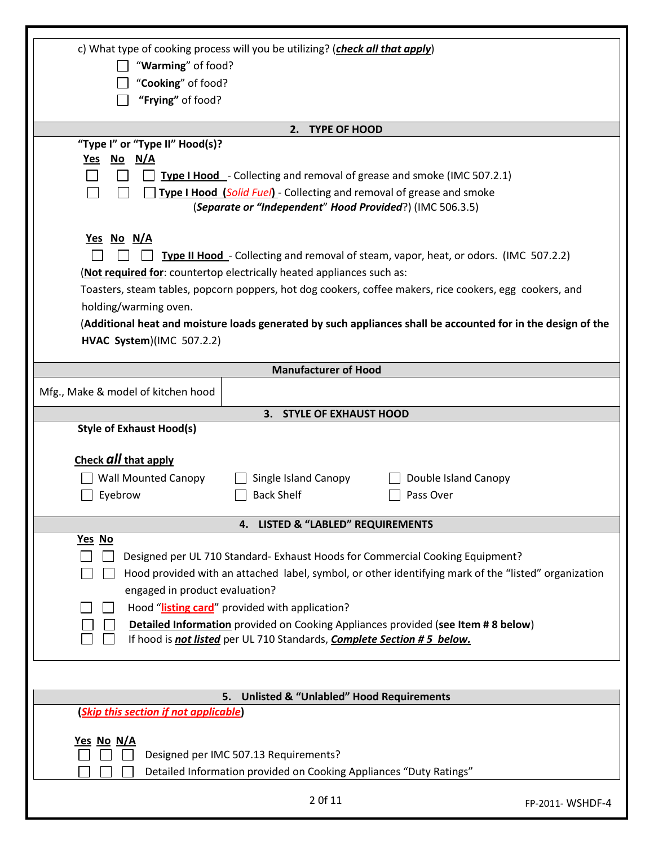| c) What type of cooking process will you be utilizing? (check all that apply)                                |  |  |  |
|--------------------------------------------------------------------------------------------------------------|--|--|--|
| "Warming" of food?                                                                                           |  |  |  |
| "Cooking" of food?                                                                                           |  |  |  |
| "Frying" of food?                                                                                            |  |  |  |
|                                                                                                              |  |  |  |
| 2. TYPE OF HOOD                                                                                              |  |  |  |
| "Type I" or "Type II" Hood(s)?<br><u>No N/A</u><br>Yes                                                       |  |  |  |
| Type I Hood - Collecting and removal of grease and smoke (IMC 507.2.1)                                       |  |  |  |
| Type I Hood (Solid Fuel) - Collecting and removal of grease and smoke                                        |  |  |  |
| (Separate or "Independent" Hood Provided?) (IMC 506.3.5)                                                     |  |  |  |
|                                                                                                              |  |  |  |
| <u>Yes No N/A</u>                                                                                            |  |  |  |
| Type II Hood - Collecting and removal of steam, vapor, heat, or odors. (IMC 507.2.2)                         |  |  |  |
| (Not required for: countertop electrically heated appliances such as:                                        |  |  |  |
| Toasters, steam tables, popcorn poppers, hot dog cookers, coffee makers, rice cookers, egg cookers, and      |  |  |  |
| holding/warming oven.                                                                                        |  |  |  |
| (Additional heat and moisture loads generated by such appliances shall be accounted for in the design of the |  |  |  |
| HVAC System)(IMC 507.2.2)                                                                                    |  |  |  |
|                                                                                                              |  |  |  |
| <b>Manufacturer of Hood</b>                                                                                  |  |  |  |
| Mfg., Make & model of kitchen hood                                                                           |  |  |  |
| 3. STYLE OF EXHAUST HOOD                                                                                     |  |  |  |
| <b>Style of Exhaust Hood(s)</b>                                                                              |  |  |  |
|                                                                                                              |  |  |  |
| Check all that apply                                                                                         |  |  |  |
| <b>Wall Mounted Canopy</b><br>Single Island Canopy<br>Double Island Canopy                                   |  |  |  |
| Eyebrow<br><b>Back Shelf</b><br>Pass Over                                                                    |  |  |  |
| <b>LISTED &amp; "LABLED" REQUIREMENTS</b><br>4.                                                              |  |  |  |
| Yes No                                                                                                       |  |  |  |
| Designed per UL 710 Standard- Exhaust Hoods for Commercial Cooking Equipment?                                |  |  |  |
| Hood provided with an attached label, symbol, or other identifying mark of the "listed" organization         |  |  |  |
| engaged in product evaluation?                                                                               |  |  |  |
| Hood "listing card" provided with application?                                                               |  |  |  |
| <b>Detailed Information</b> provided on Cooking Appliances provided (see Item # 8 below)                     |  |  |  |
| If hood is not listed per UL 710 Standards, Complete Section #5 below.                                       |  |  |  |
|                                                                                                              |  |  |  |
|                                                                                                              |  |  |  |
| <b>Unlisted &amp; "Unlabled" Hood Requirements</b><br>5.                                                     |  |  |  |
| (Skip this section if not applicable)                                                                        |  |  |  |
|                                                                                                              |  |  |  |
| <u>Yes No N/A</u><br>Designed per IMC 507.13 Requirements?                                                   |  |  |  |
| Detailed Information provided on Cooking Appliances "Duty Ratings"                                           |  |  |  |
|                                                                                                              |  |  |  |
| 2 Of 11<br>FP-2011- WSHDF-4                                                                                  |  |  |  |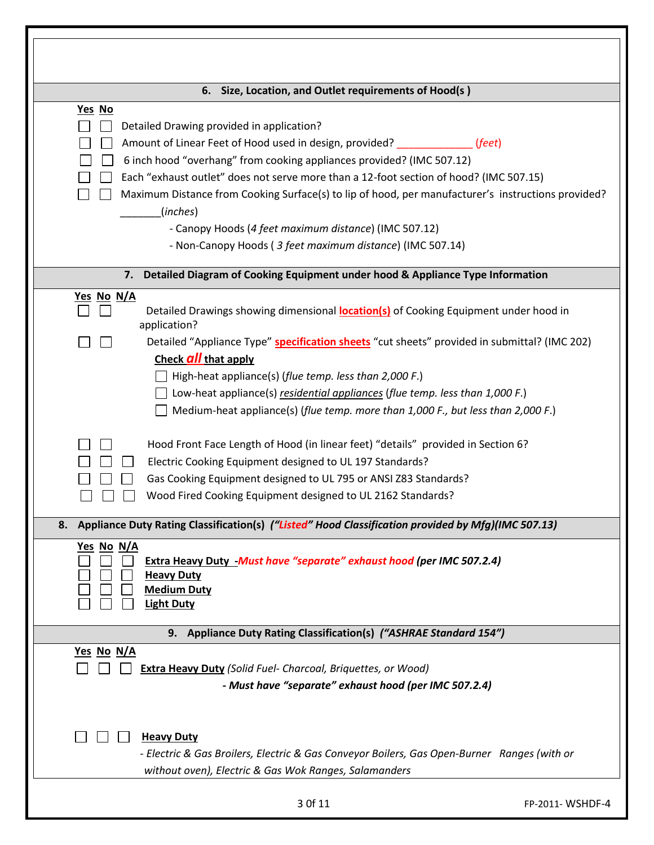| Size, Location, and Outlet requirements of Hood(s)<br>6.                                                  |                 |
|-----------------------------------------------------------------------------------------------------------|-----------------|
| Yes No                                                                                                    |                 |
| Detailed Drawing provided in application?                                                                 |                 |
| Amount of Linear Feet of Hood used in design, provided?<br>(feet)                                         |                 |
| 6 inch hood "overhang" from cooking appliances provided? (IMC 507.12)                                     |                 |
| Each "exhaust outlet" does not serve more than a 12-foot section of hood? (IMC 507.15)                    |                 |
| Maximum Distance from Cooking Surface(s) to lip of hood, per manufacturer's instructions provided?        |                 |
| (inches)                                                                                                  |                 |
| - Canopy Hoods (4 feet maximum distance) (IMC 507.12)                                                     |                 |
| - Non-Canopy Hoods (3 feet maximum distance) (IMC 507.14)                                                 |                 |
| Detailed Diagram of Cooking Equipment under hood & Appliance Type Information<br>7.                       |                 |
| Yes No N/A<br>Detailed Drawings showing dimensional <b>location(s)</b> of Cooking Equipment under hood in |                 |
| application?                                                                                              |                 |
| Detailed "Appliance Type" specification sheets "cut sheets" provided in submittal? (IMC 202)              |                 |
| Check <b>all</b> that apply                                                                               |                 |
| High-heat appliance(s) (flue temp. less than 2,000 F.)                                                    |                 |
| Low-heat appliance(s) residential appliances (flue temp. less than 1,000 F.)                              |                 |
| Medium-heat appliance(s) (flue temp. more than 1,000 F., but less than 2,000 F.)                          |                 |
|                                                                                                           |                 |
| Hood Front Face Length of Hood (in linear feet) "details" provided in Section 6?                          |                 |
| Electric Cooking Equipment designed to UL 197 Standards?                                                  |                 |
| Gas Cooking Equipment designed to UL 795 or ANSI Z83 Standards?                                           |                 |
| Wood Fired Cooking Equipment designed to UL 2162 Standards?                                               |                 |
| 8. Appliance Duty Rating Classification(s) ("Listed" Hood Classification provided by Mfg)(IMC 507.13)     |                 |
| <u>Yes No N/A</u><br>Extra Heavy Duty -Must have "separate" exhaust hood (per IMC 507.2.4)                |                 |
| <b>Heavy Duty</b>                                                                                         |                 |
| <b>Medium Duty</b>                                                                                        |                 |
| <b>Light Duty</b>                                                                                         |                 |
| 9. Appliance Duty Rating Classification(s) ("ASHRAE Standard 154")                                        |                 |
| Yes No N/A                                                                                                |                 |
| <b>Extra Heavy Duty (Solid Fuel- Charcoal, Briquettes, or Wood)</b>                                       |                 |
| - Must have "separate" exhaust hood (per IMC 507.2.4)                                                     |                 |
|                                                                                                           |                 |
| <b>Heavy Duty</b>                                                                                         |                 |
| - Electric & Gas Broilers, Electric & Gas Conveyor Boilers, Gas Open-Burner Ranges (with or               |                 |
| without oven), Electric & Gas Wok Ranges, Salamanders                                                     |                 |
| 3 Of 11                                                                                                   | FP-2011-WSHDF-4 |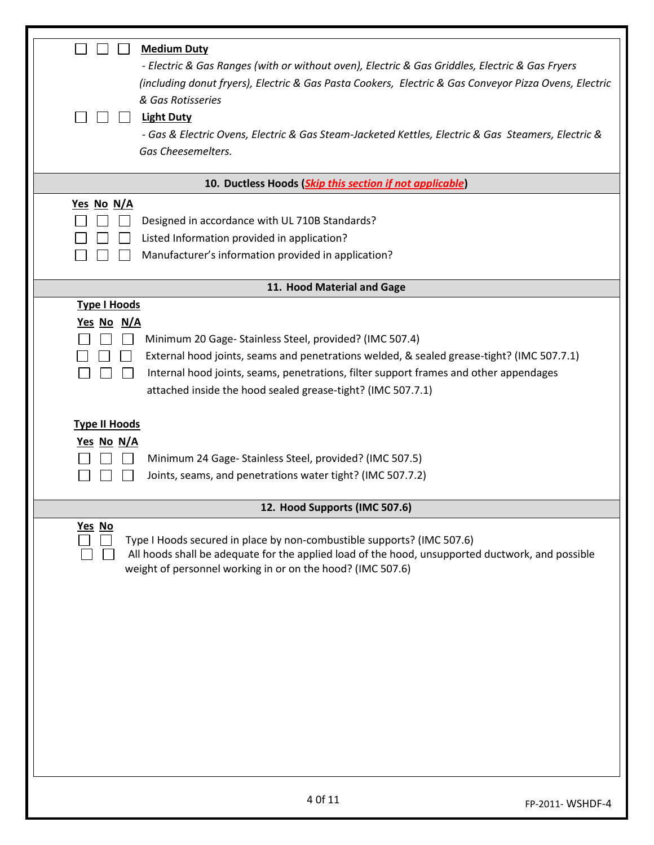| <b>Medium Duty</b><br>- Electric & Gas Ranges (with or without oven), Electric & Gas Griddles, Electric & Gas Fryers<br>(including donut fryers), Electric & Gas Pasta Cookers, Electric & Gas Conveyor Pizza Ovens, Electric<br>& Gas Rotisseries<br><b>Light Duty</b><br>- Gas & Electric Ovens, Electric & Gas Steam-Jacketed Kettles, Electric & Gas Steamers, Electric &<br>Gas Cheesemelters. |  |
|-----------------------------------------------------------------------------------------------------------------------------------------------------------------------------------------------------------------------------------------------------------------------------------------------------------------------------------------------------------------------------------------------------|--|
| 10. Ductless Hoods (Skip this section if not applicable)                                                                                                                                                                                                                                                                                                                                            |  |
| Yes No N/A<br>Designed in accordance with UL 710B Standards?<br>Listed Information provided in application?<br>Manufacturer's information provided in application?                                                                                                                                                                                                                                  |  |
| 11. Hood Material and Gage                                                                                                                                                                                                                                                                                                                                                                          |  |
| <b>Type I Hoods</b><br>Yes No N/A<br>Minimum 20 Gage-Stainless Steel, provided? (IMC 507.4)<br>External hood joints, seams and penetrations welded, & sealed grease-tight? (IMC 507.7.1)<br>Internal hood joints, seams, penetrations, filter support frames and other appendages<br>attached inside the hood sealed grease-tight? (IMC 507.7.1)                                                    |  |
| <b>Type II Hoods</b><br>Yes No N/A<br>Minimum 24 Gage-Stainless Steel, provided? (IMC 507.5)<br>Joints, seams, and penetrations water tight? (IMC 507.7.2)                                                                                                                                                                                                                                          |  |
| 12. Hood Supports (IMC 507.6)                                                                                                                                                                                                                                                                                                                                                                       |  |
| Yes No<br>Type I Hoods secured in place by non-combustible supports? (IMC 507.6)<br>All hoods shall be adequate for the applied load of the hood, unsupported ductwork, and possible<br>weight of personnel working in or on the hood? (IMC 507.6)                                                                                                                                                  |  |
| 4 Of 11<br>FP-2011-WSHDF-4                                                                                                                                                                                                                                                                                                                                                                          |  |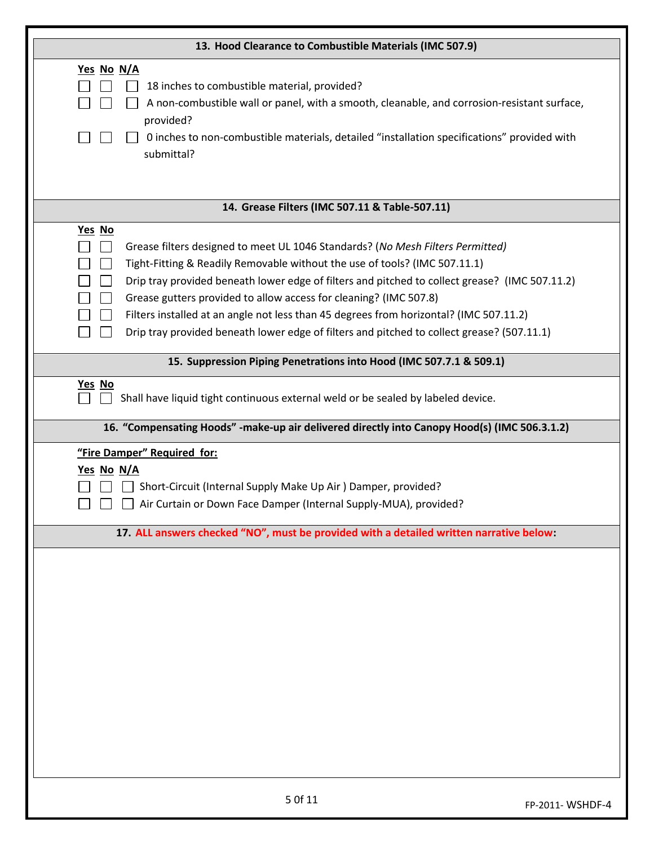| 13. Hood Clearance to Combustible Materials (IMC 507.9)                                                                                                                                                                                                                                                                                                                                                                                                                                                                               |                 |
|---------------------------------------------------------------------------------------------------------------------------------------------------------------------------------------------------------------------------------------------------------------------------------------------------------------------------------------------------------------------------------------------------------------------------------------------------------------------------------------------------------------------------------------|-----------------|
| Yes No N/A<br>18 inches to combustible material, provided?<br>A non-combustible wall or panel, with a smooth, cleanable, and corrosion-resistant surface,<br>provided?<br>O inches to non-combustible materials, detailed "installation specifications" provided with<br>submittal?                                                                                                                                                                                                                                                   |                 |
| 14. Grease Filters (IMC 507.11 & Table-507.11)                                                                                                                                                                                                                                                                                                                                                                                                                                                                                        |                 |
| Yes No<br>Grease filters designed to meet UL 1046 Standards? (No Mesh Filters Permitted)<br>Tight-Fitting & Readily Removable without the use of tools? (IMC 507.11.1)<br>Drip tray provided beneath lower edge of filters and pitched to collect grease? (IMC 507.11.2)<br>Grease gutters provided to allow access for cleaning? (IMC 507.8)<br>Filters installed at an angle not less than 45 degrees from horizontal? (IMC 507.11.2)<br>Drip tray provided beneath lower edge of filters and pitched to collect grease? (507.11.1) |                 |
| 15. Suppression Piping Penetrations into Hood (IMC 507.7.1 & 509.1)                                                                                                                                                                                                                                                                                                                                                                                                                                                                   |                 |
| Yes No<br>Shall have liquid tight continuous external weld or be sealed by labeled device.                                                                                                                                                                                                                                                                                                                                                                                                                                            |                 |
| 16. "Compensating Hoods" -make-up air delivered directly into Canopy Hood(s) (IMC 506.3.1.2)<br>"Fire Damper" Required for:                                                                                                                                                                                                                                                                                                                                                                                                           |                 |
| Yes No N/A<br>Short-Circuit (Internal Supply Make Up Air ) Damper, provided?<br>Air Curtain or Down Face Damper (Internal Supply-MUA), provided?                                                                                                                                                                                                                                                                                                                                                                                      |                 |
| 17. ALL answers checked "NO", must be provided with a detailed written narrative below:                                                                                                                                                                                                                                                                                                                                                                                                                                               |                 |
|                                                                                                                                                                                                                                                                                                                                                                                                                                                                                                                                       |                 |
| 5 Of 11                                                                                                                                                                                                                                                                                                                                                                                                                                                                                                                               | FP-2011-WSHDF-4 |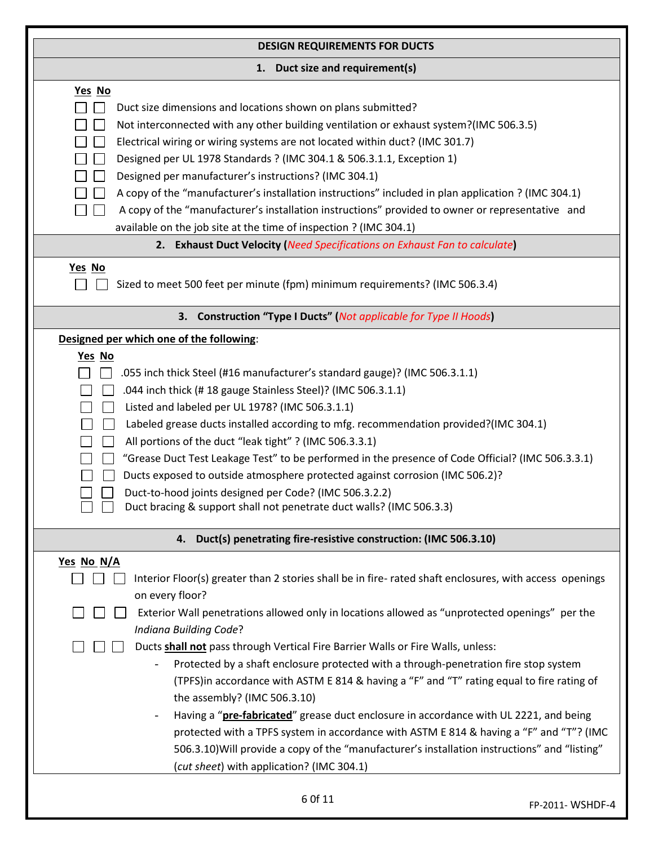| <b>DESIGN REQUIREMENTS FOR DUCTS</b>                                                                                                                                                                                                                                                                                                                                                                                                                                                                                                                                                                                                                                                                                                                                                                                                                                                                                 |
|----------------------------------------------------------------------------------------------------------------------------------------------------------------------------------------------------------------------------------------------------------------------------------------------------------------------------------------------------------------------------------------------------------------------------------------------------------------------------------------------------------------------------------------------------------------------------------------------------------------------------------------------------------------------------------------------------------------------------------------------------------------------------------------------------------------------------------------------------------------------------------------------------------------------|
| 1. Duct size and requirement(s)                                                                                                                                                                                                                                                                                                                                                                                                                                                                                                                                                                                                                                                                                                                                                                                                                                                                                      |
| Yes No<br>Duct size dimensions and locations shown on plans submitted?<br>Not interconnected with any other building ventilation or exhaust system?(IMC 506.3.5)<br>Electrical wiring or wiring systems are not located within duct? (IMC 301.7)<br>Designed per UL 1978 Standards ? (IMC 304.1 & 506.3.1.1, Exception 1)<br>Designed per manufacturer's instructions? (IMC 304.1)<br>A copy of the "manufacturer's installation instructions" included in plan application ? (IMC 304.1)<br>A copy of the "manufacturer's installation instructions" provided to owner or representative and<br>available on the job site at the time of inspection ? (IMC 304.1)                                                                                                                                                                                                                                                   |
| 2. Exhaust Duct Velocity (Need Specifications on Exhaust Fan to calculate)                                                                                                                                                                                                                                                                                                                                                                                                                                                                                                                                                                                                                                                                                                                                                                                                                                           |
| Yes No<br>Sized to meet 500 feet per minute (fpm) minimum requirements? (IMC 506.3.4)                                                                                                                                                                                                                                                                                                                                                                                                                                                                                                                                                                                                                                                                                                                                                                                                                                |
| 3. Construction "Type I Ducts" (Not applicable for Type II Hoods)                                                                                                                                                                                                                                                                                                                                                                                                                                                                                                                                                                                                                                                                                                                                                                                                                                                    |
| Designed per which one of the following:                                                                                                                                                                                                                                                                                                                                                                                                                                                                                                                                                                                                                                                                                                                                                                                                                                                                             |
| Yes No<br>.055 inch thick Steel (#16 manufacturer's standard gauge)? (IMC 506.3.1.1)<br>.044 inch thick (#18 gauge Stainless Steel)? (IMC 506.3.1.1)<br>Listed and labeled per UL 1978? (IMC 506.3.1.1)<br>Labeled grease ducts installed according to mfg. recommendation provided?(IMC 304.1)<br>All portions of the duct "leak tight" ? (IMC 506.3.3.1)<br>"Grease Duct Test Leakage Test" to be performed in the presence of Code Official? (IMC 506.3.3.1)<br>Ducts exposed to outside atmosphere protected against corrosion (IMC 506.2)?<br>Duct-to-hood joints designed per Code? (IMC 506.3.2.2)<br>Duct bracing & support shall not penetrate duct walls? (IMC 506.3.3)                                                                                                                                                                                                                                    |
| 4. Duct(s) penetrating fire-resistive construction: (IMC 506.3.10)                                                                                                                                                                                                                                                                                                                                                                                                                                                                                                                                                                                                                                                                                                                                                                                                                                                   |
| Yes No N/A<br>Interior Floor(s) greater than 2 stories shall be in fire-rated shaft enclosures, with access openings<br>on every floor?<br>Exterior Wall penetrations allowed only in locations allowed as "unprotected openings" per the<br>Indiana Building Code?<br>Ducts <b>shall not</b> pass through Vertical Fire Barrier Walls or Fire Walls, unless:<br>Protected by a shaft enclosure protected with a through-penetration fire stop system<br>(TPFS)in accordance with ASTM E 814 & having a "F" and "T" rating equal to fire rating of<br>the assembly? (IMC 506.3.10)<br>Having a "pre-fabricated" grease duct enclosure in accordance with UL 2221, and being<br>protected with a TPFS system in accordance with ASTM E 814 & having a "F" and "T"? (IMC<br>506.3.10) Will provide a copy of the "manufacturer's installation instructions" and "listing"<br>(cut sheet) with application? (IMC 304.1) |
| 6 Of 11<br>FP-2011- WSHDF-4                                                                                                                                                                                                                                                                                                                                                                                                                                                                                                                                                                                                                                                                                                                                                                                                                                                                                          |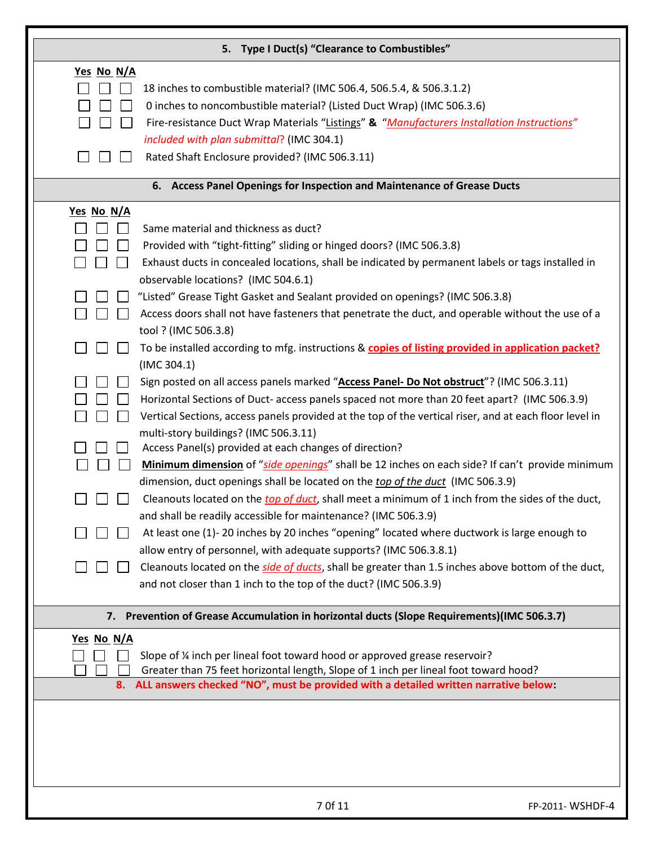|                   | 5. Type I Duct(s) "Clearance to Combustibles"                                                                                                                      |
|-------------------|--------------------------------------------------------------------------------------------------------------------------------------------------------------------|
| Yes No N/A        |                                                                                                                                                                    |
|                   | 18 inches to combustible material? (IMC 506.4, 506.5.4, & 506.3.1.2)                                                                                               |
|                   | 0 inches to noncombustible material? (Listed Duct Wrap) (IMC 506.3.6)                                                                                              |
|                   | Fire-resistance Duct Wrap Materials "Listings" & "Manufacturers Installation Instructions"                                                                         |
|                   | included with plan submittal? (IMC 304.1)                                                                                                                          |
|                   | Rated Shaft Enclosure provided? (IMC 506.3.11)                                                                                                                     |
|                   | 6. Access Panel Openings for Inspection and Maintenance of Grease Ducts                                                                                            |
| <u>Yes No N/A</u> |                                                                                                                                                                    |
|                   | Same material and thickness as duct?                                                                                                                               |
|                   | Provided with "tight-fitting" sliding or hinged doors? (IMC 506.3.8)                                                                                               |
|                   | Exhaust ducts in concealed locations, shall be indicated by permanent labels or tags installed in<br>observable locations? (IMC 504.6.1)                           |
|                   | "Listed" Grease Tight Gasket and Sealant provided on openings? (IMC 506.3.8)                                                                                       |
|                   | Access doors shall not have fasteners that penetrate the duct, and operable without the use of a                                                                   |
|                   | tool ? (IMC 506.3.8)                                                                                                                                               |
|                   | To be installed according to mfg. instructions & copies of listing provided in application packet?                                                                 |
|                   | (IMC 304.1)                                                                                                                                                        |
|                   | Sign posted on all access panels marked "Access Panel- Do Not obstruct"? (IMC 506.3.11)                                                                            |
|                   | Horizontal Sections of Duct- access panels spaced not more than 20 feet apart? (IMC 506.3.9)                                                                       |
|                   | Vertical Sections, access panels provided at the top of the vertical riser, and at each floor level in                                                             |
|                   | multi-story buildings? (IMC 506.3.11)                                                                                                                              |
|                   | Access Panel(s) provided at each changes of direction?                                                                                                             |
|                   | Minimum dimension of "side openings" shall be 12 inches on each side? If can't provide minimum                                                                     |
|                   | dimension, duct openings shall be located on the top of the duct (IMC 506.3.9)                                                                                     |
|                   | Cleanouts located on the top of duct, shall meet a minimum of 1 inch from the sides of the duct,<br>and shall be readily accessible for maintenance? (IMC 506.3.9) |
|                   | At least one (1)-20 inches by 20 inches "opening" located where ductwork is large enough to                                                                        |
|                   | allow entry of personnel, with adequate supports? (IMC 506.3.8.1)                                                                                                  |
|                   | Cleanouts located on the side of ducts, shall be greater than 1.5 inches above bottom of the duct,                                                                 |
|                   | and not closer than 1 inch to the top of the duct? (IMC 506.3.9)                                                                                                   |
|                   | 7. Prevention of Grease Accumulation in horizontal ducts (Slope Requirements)(IMC 506.3.7)                                                                         |
| <u>Yes No N/A</u> |                                                                                                                                                                    |
|                   | Slope of % inch per lineal foot toward hood or approved grease reservoir?                                                                                          |
|                   | Greater than 75 feet horizontal length, Slope of 1 inch per lineal foot toward hood?                                                                               |
|                   | 8. ALL answers checked "NO", must be provided with a detailed written narrative below:                                                                             |
|                   |                                                                                                                                                                    |
|                   |                                                                                                                                                                    |
|                   |                                                                                                                                                                    |
|                   |                                                                                                                                                                    |
|                   |                                                                                                                                                                    |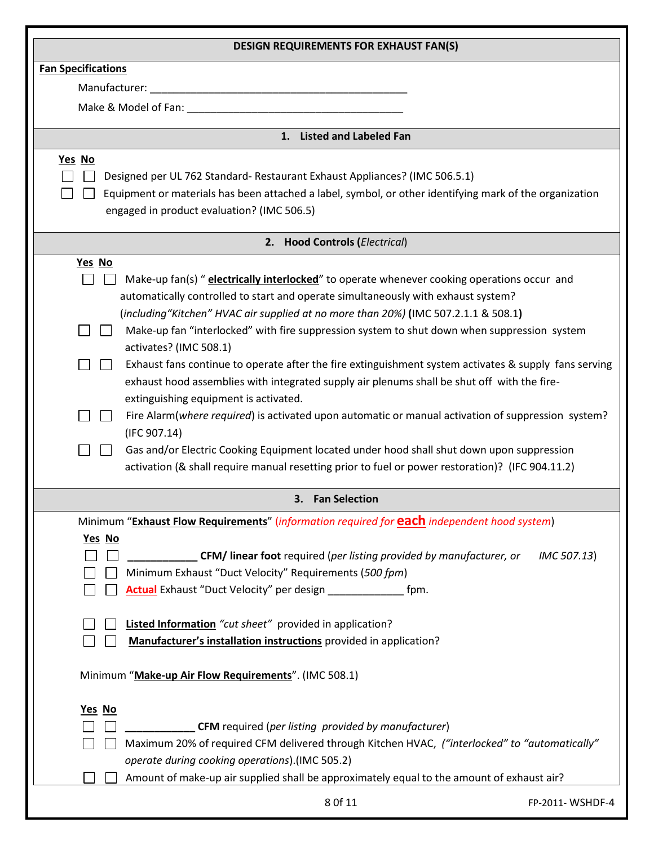| <b>DESIGN REQUIREMENTS FOR EXHAUST FAN(S)</b>                                                                                                                                                                                                                                                                                                                                                                                                                                                                                                                                                                                                                                                                                                                                                                                                                                                                                                                                      |                 |
|------------------------------------------------------------------------------------------------------------------------------------------------------------------------------------------------------------------------------------------------------------------------------------------------------------------------------------------------------------------------------------------------------------------------------------------------------------------------------------------------------------------------------------------------------------------------------------------------------------------------------------------------------------------------------------------------------------------------------------------------------------------------------------------------------------------------------------------------------------------------------------------------------------------------------------------------------------------------------------|-----------------|
| <b>Fan Specifications</b>                                                                                                                                                                                                                                                                                                                                                                                                                                                                                                                                                                                                                                                                                                                                                                                                                                                                                                                                                          |                 |
|                                                                                                                                                                                                                                                                                                                                                                                                                                                                                                                                                                                                                                                                                                                                                                                                                                                                                                                                                                                    |                 |
|                                                                                                                                                                                                                                                                                                                                                                                                                                                                                                                                                                                                                                                                                                                                                                                                                                                                                                                                                                                    |                 |
| 1. Listed and Labeled Fan                                                                                                                                                                                                                                                                                                                                                                                                                                                                                                                                                                                                                                                                                                                                                                                                                                                                                                                                                          |                 |
| Yes No<br>Designed per UL 762 Standard-Restaurant Exhaust Appliances? (IMC 506.5.1)<br>Equipment or materials has been attached a label, symbol, or other identifying mark of the organization<br>engaged in product evaluation? (IMC 506.5)                                                                                                                                                                                                                                                                                                                                                                                                                                                                                                                                                                                                                                                                                                                                       |                 |
| 2. Hood Controls (Electrical)                                                                                                                                                                                                                                                                                                                                                                                                                                                                                                                                                                                                                                                                                                                                                                                                                                                                                                                                                      |                 |
| Yes No<br>Make-up fan(s) " electrically interlocked" to operate whenever cooking operations occur and<br>automatically controlled to start and operate simultaneously with exhaust system?<br>(including "Kitchen" HVAC air supplied at no more than 20%) (IMC 507.2.1.1 & 508.1)<br>Make-up fan "interlocked" with fire suppression system to shut down when suppression system<br>activates? (IMC 508.1)<br>Exhaust fans continue to operate after the fire extinguishment system activates & supply fans serving<br>exhaust hood assemblies with integrated supply air plenums shall be shut off with the fire-<br>extinguishing equipment is activated.<br>Fire Alarm(where required) is activated upon automatic or manual activation of suppression system?<br>(IFC 907.14)<br>Gas and/or Electric Cooking Equipment located under hood shall shut down upon suppression<br>activation (& shall require manual resetting prior to fuel or power restoration)? (IFC 904.11.2) |                 |
| 3. Fan Selection                                                                                                                                                                                                                                                                                                                                                                                                                                                                                                                                                                                                                                                                                                                                                                                                                                                                                                                                                                   |                 |
| Minimum "Exhaust Flow Requirements" (information required for <b>each</b> independent hood system)<br>Yes No<br>CFM/ linear foot required (per listing provided by manufacturer, or<br>Minimum Exhaust "Duct Velocity" Requirements (500 fpm)<br>Actual Exhaust "Duct Velocity" per design _________<br>fpm.<br><b>Listed Information</b> "cut sheet" provided in application?<br>Manufacturer's installation instructions provided in application?                                                                                                                                                                                                                                                                                                                                                                                                                                                                                                                                | IMC 507.13)     |
| Minimum "Make-up Air Flow Requirements". (IMC 508.1)                                                                                                                                                                                                                                                                                                                                                                                                                                                                                                                                                                                                                                                                                                                                                                                                                                                                                                                               |                 |
| <u>Yes</u> No<br><b>CFM</b> required (per listing provided by manufacturer)<br>Maximum 20% of required CFM delivered through Kitchen HVAC, ("interlocked" to "automatically"<br>operate during cooking operations).(IMC 505.2)<br>Amount of make-up air supplied shall be approximately equal to the amount of exhaust air?<br>8 Of 11                                                                                                                                                                                                                                                                                                                                                                                                                                                                                                                                                                                                                                             | FP-2011-WSHDF-4 |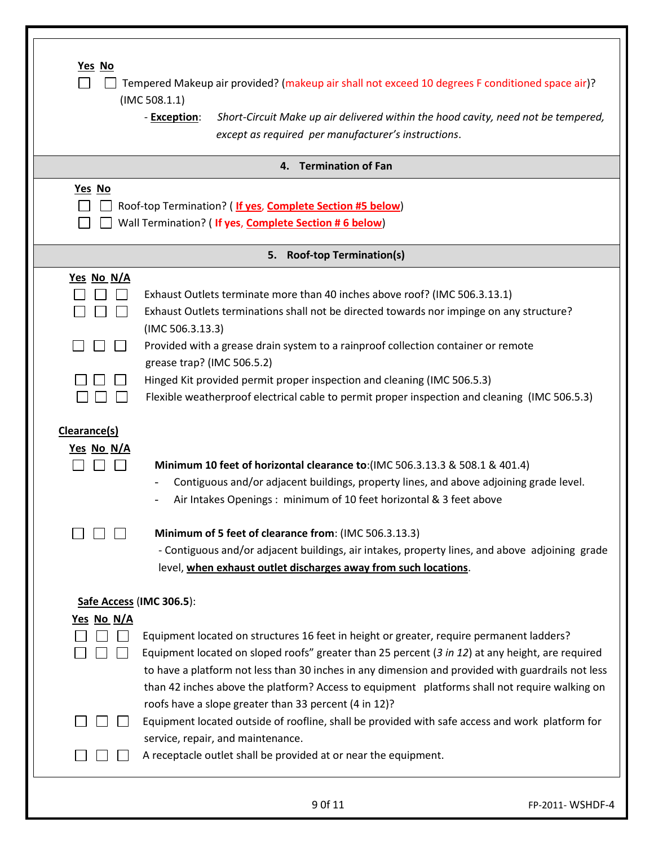| Yes No<br>Yes No | Tempered Makeup air provided? (makeup air shall not exceed 10 degrees F conditioned space air)?<br>(IMC 508.1.1)<br>- Exception:<br>Short-Circuit Make up air delivered within the hood cavity, need not be tempered,<br>except as required per manufacturer's instructions.<br>4. Termination of Fan<br>Roof-top Termination? (If yes, Complete Section #5 below)                                                                                          |
|------------------|-------------------------------------------------------------------------------------------------------------------------------------------------------------------------------------------------------------------------------------------------------------------------------------------------------------------------------------------------------------------------------------------------------------------------------------------------------------|
|                  | Wall Termination? (If yes, Complete Section #6 below)                                                                                                                                                                                                                                                                                                                                                                                                       |
|                  | <b>Roof-top Termination(s)</b><br>5.                                                                                                                                                                                                                                                                                                                                                                                                                        |
| Yes No N/A       | Exhaust Outlets terminate more than 40 inches above roof? (IMC 506.3.13.1)<br>Exhaust Outlets terminations shall not be directed towards nor impinge on any structure?<br>(IMC 506.3.13.3)                                                                                                                                                                                                                                                                  |
|                  | Provided with a grease drain system to a rainproof collection container or remote<br>grease trap? (IMC 506.5.2)                                                                                                                                                                                                                                                                                                                                             |
|                  | Hinged Kit provided permit proper inspection and cleaning (IMC 506.5.3)<br>Flexible weatherproof electrical cable to permit proper inspection and cleaning (IMC 506.5.3)                                                                                                                                                                                                                                                                                    |
| Clearance(s)     |                                                                                                                                                                                                                                                                                                                                                                                                                                                             |
| Yes No N/A       |                                                                                                                                                                                                                                                                                                                                                                                                                                                             |
|                  | Minimum 10 feet of horizontal clearance to: (IMC 506.3.13.3 & 508.1 & 401.4)<br>Contiguous and/or adjacent buildings, property lines, and above adjoining grade level.<br>Air Intakes Openings: minimum of 10 feet horizontal & 3 feet above                                                                                                                                                                                                                |
|                  | Minimum of 5 feet of clearance from: (IMC 506.3.13.3)<br>- Contiguous and/or adjacent buildings, air intakes, property lines, and above adjoining grade<br>level, when exhaust outlet discharges away from such locations.                                                                                                                                                                                                                                  |
|                  | Safe Access (IMC 306.5):                                                                                                                                                                                                                                                                                                                                                                                                                                    |
| Yes No N/A       |                                                                                                                                                                                                                                                                                                                                                                                                                                                             |
|                  | Equipment located on structures 16 feet in height or greater, require permanent ladders?<br>Equipment located on sloped roofs" greater than 25 percent (3 in 12) at any height, are required<br>to have a platform not less than 30 inches in any dimension and provided with guardrails not less<br>than 42 inches above the platform? Access to equipment platforms shall not require walking on<br>roofs have a slope greater than 33 percent (4 in 12)? |
|                  | Equipment located outside of roofline, shall be provided with safe access and work platform for<br>service, repair, and maintenance.<br>A receptacle outlet shall be provided at or near the equipment.                                                                                                                                                                                                                                                     |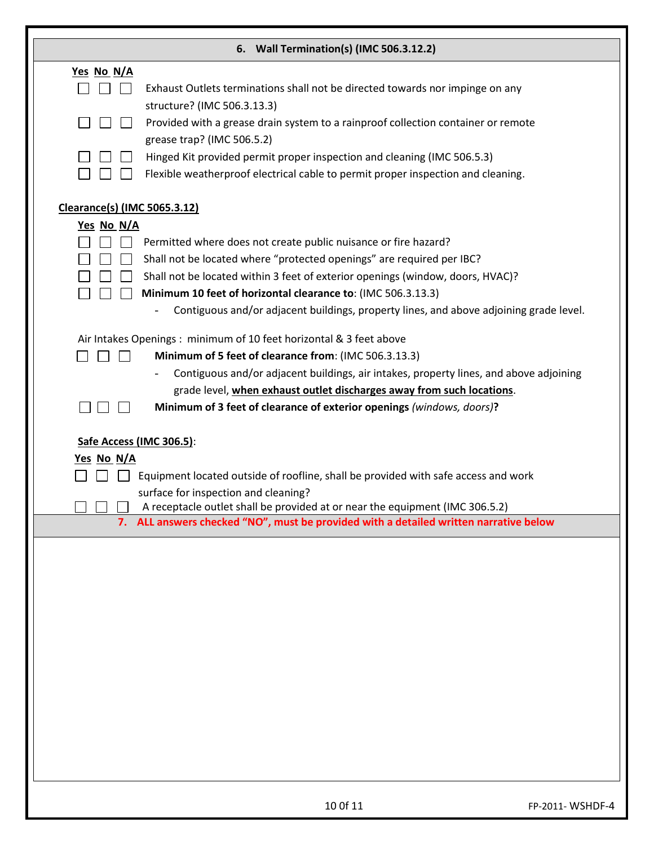|                                     | 6. Wall Termination(s) (IMC 506.3.12.2)                                                |                 |
|-------------------------------------|----------------------------------------------------------------------------------------|-----------------|
| Yes No N/A                          |                                                                                        |                 |
|                                     | Exhaust Outlets terminations shall not be directed towards nor impinge on any          |                 |
|                                     | structure? (IMC 506.3.13.3)                                                            |                 |
|                                     | Provided with a grease drain system to a rainproof collection container or remote      |                 |
|                                     | grease trap? (IMC 506.5.2)                                                             |                 |
|                                     | Hinged Kit provided permit proper inspection and cleaning (IMC 506.5.3)                |                 |
|                                     | Flexible weatherproof electrical cable to permit proper inspection and cleaning.       |                 |
| <b>Clearance(s) (IMC 5065.3.12)</b> |                                                                                        |                 |
| Yes No N/A                          |                                                                                        |                 |
|                                     | Permitted where does not create public nuisance or fire hazard?                        |                 |
|                                     | Shall not be located where "protected openings" are required per IBC?                  |                 |
|                                     | Shall not be located within 3 feet of exterior openings (window, doors, HVAC)?         |                 |
|                                     | Minimum 10 feet of horizontal clearance to: (IMC 506.3.13.3)                           |                 |
|                                     | Contiguous and/or adjacent buildings, property lines, and above adjoining grade level. |                 |
|                                     | Air Intakes Openings: minimum of 10 feet horizontal & 3 feet above                     |                 |
| $\blacksquare$                      | Minimum of 5 feet of clearance from: (IMC 506.3.13.3)                                  |                 |
|                                     | Contiguous and/or adjacent buildings, air intakes, property lines, and above adjoining |                 |
|                                     | grade level, when exhaust outlet discharges away from such locations.                  |                 |
|                                     | Minimum of 3 feet of clearance of exterior openings (windows, doors)?                  |                 |
| Yes No N/A                          | Safe Access (IMC 306.5):                                                               |                 |
|                                     | Equipment located outside of roofline, shall be provided with safe access and work     |                 |
|                                     | surface for inspection and cleaning?                                                   |                 |
| $\Box$                              | A receptacle outlet shall be provided at or near the equipment (IMC 306.5.2)           |                 |
|                                     | 7. ALL answers checked "NO", must be provided with a detailed written narrative below  |                 |
|                                     |                                                                                        |                 |
|                                     |                                                                                        |                 |
|                                     |                                                                                        |                 |
|                                     |                                                                                        |                 |
|                                     |                                                                                        |                 |
|                                     |                                                                                        |                 |
|                                     |                                                                                        |                 |
|                                     |                                                                                        |                 |
|                                     |                                                                                        |                 |
|                                     |                                                                                        |                 |
|                                     |                                                                                        |                 |
|                                     |                                                                                        |                 |
|                                     |                                                                                        |                 |
|                                     |                                                                                        |                 |
|                                     | 10 Of 11                                                                               | FP-2011-WSHDF-4 |